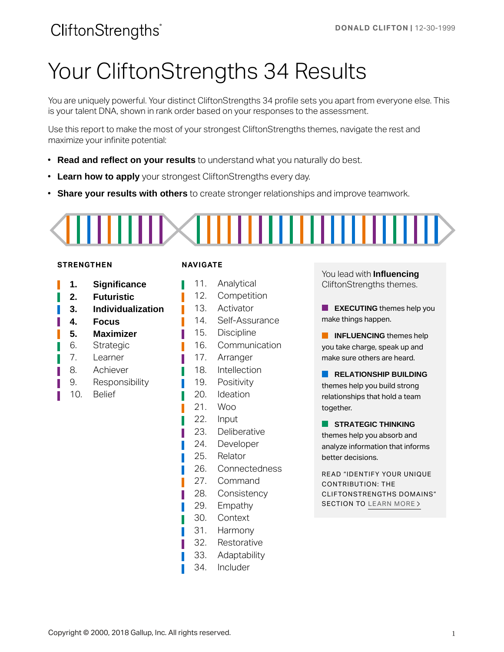# Your CliftonStrengths 34 Results

You are uniquely powerful. Your distinct CliftonStrengths 34 profile sets you apart from everyone else. This is your talent DNA, shown in rank order based on your responses to the assessment.

Use this report to make the most of your strongest CliftonStrengths themes, navigate the rest and maximize your infinite potential:

- **Read and reflect on your results** to understand what you naturally do best.
- **Learn how to apply** your strongest CliftonStrengths every day.
- **Share your results with others** to create stronger relationships and improve teamwork.

#### **STRENGTHEN**

- **1. Significance**
- **2. Futuristic**
- **3. Individualization**
- **4. Focus**
- **5. Maximizer**
- 6. Strategic
- 7. Learner
- 8. Achiever
- 9. Responsibility
- 10. Belief

#### **NAVIGATE**

Π

- 11. Analytical
- 12. Competition
- 13. Activator
- 14. Self-Assurance
- 15. Discipline
- 16. Communication
- 17. Arranger
- 18. Intellection
- 19. Positivity
- 20. Ideation
- 21. Woo
- 22. Input
- 23. Deliberative
- 24. Developer
- 25. Relator
- 26. Connectedness
- 27. Command
- 28. Consistency
- 29. Empathy
- 30. Context
- 31. Harmony
- 32. Restorative
- 33. Adaptability
- 34. Includer

You lead with **Influencing**  CliftonStrengths themes.

**EXECUTING** themes help you make things happen.

**INFLUENCING** themes help you take charge, speak up and make sure others are heard.

**RELATIONSHIP BUILDING** themes help you build strong relationships that hold a team together.

**STRATEGIC THINKING** themes help you absorb and analyze information that informs better decisions.

READ "IDENTIFY YOUR UNIQUE CONTRIBUTION: THE CLIFTONSTRENGTHS DOMAINS" SECTION TO [LEARN MORE](#page-19-0) >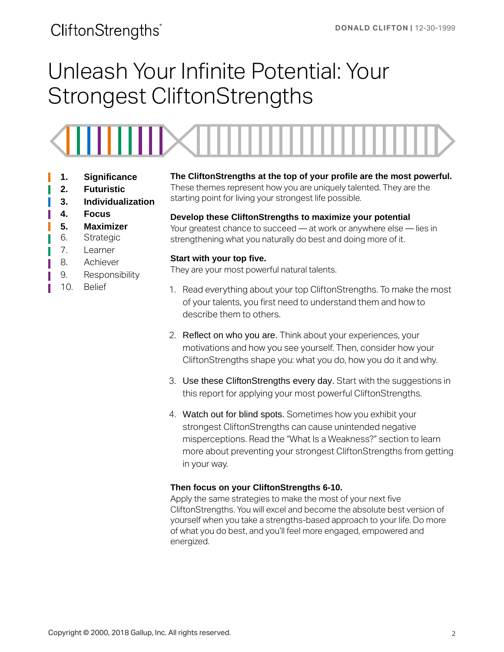# Unleash Your Infinite Potential: Your Strongest CliftonStrengths



- **1. Significance**
- **2. Futuristic**
- **3. Individualization**
- **4. Focus**
- **5. Maximizer**
- 6. Strategic
- 7. Learner
- 8. Achiever
- 9. Responsibility
- 10. Belief

**The CliftonStrengths at the top of your profile are the most powerful.** 

These themes represent how you are uniquely talented. They are the starting point for living your strongest life possible.

#### **Develop these CliftonStrengths to maximize your potential**

Your greatest chance to succeed — at work or anywhere else — lies in strengthening what you naturally do best and doing more of it.

#### **Start with your top five.**

They are your most powerful natural talents.

- 1. Read everything about your top CliftonStrengths. To make the most of your talents, you first need to understand them and how to describe them to others.
- 2. Reflect on who you are. Think about your experiences, your motivations and how you see yourself. Then, consider how your CliftonStrengths shape you: what you do, how you do it and why.
- 3. Use these CliftonStrengths every day. Start with the suggestions in this report for applying your most powerful CliftonStrengths.
- 4. Watch out for blind spots. Sometimes how you exhibit your strongest CliftonStrengths can cause unintended negative misperceptions. Read the "What Is a Weakness?" section to learn more about preventing your strongest CliftonStrengths from getting in your way.

#### **Then focus on your CliftonStrengths 6-10.**

Apply the same strategies to make the most of your next five CliftonStrengths. You will excel and become the absolute best version of yourself when you take a strengths-based approach to your life. Do more of what you do best, and you'll feel more engaged, empowered and energized.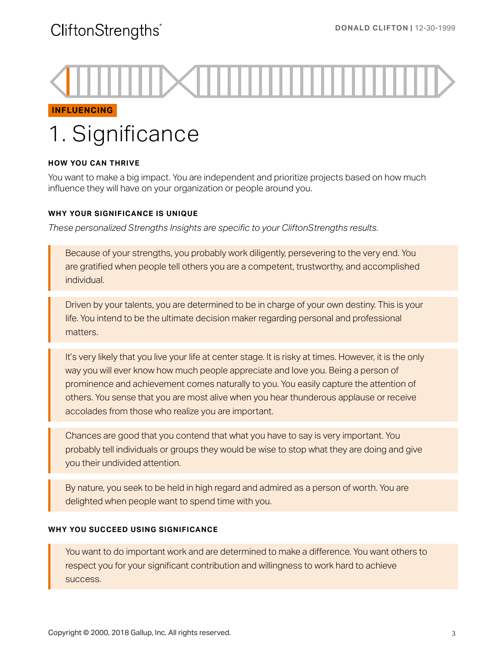#### **INFLUENCING**

# 1. Significance

#### **HOW YOU CAN THRIVE**

You want to make a big impact. You are independent and prioritize projects based on how much influence they will have on your organization or people around you.

#### **WHY YOUR SIGNIFICANCE IS UNIQUE**

*These personalized Strengths Insights are specific to your CliftonStrengths results.* 

Because of your strengths, you probably work diligently, persevering to the very end. You are gratified when people tell others you are a competent, trustworthy, and accomplished individual.

Driven by your talents, you are determined to be in charge of your own destiny. This is your life. You intend to be the ultimate decision maker regarding personal and professional matters.

It's very likely that you live your life at center stage. It is risky at times. However, it is the only way you will ever know how much people appreciate and love you. Being a person of prominence and achievement comes naturally to you. You easily capture the attention of others. You sense that you are most alive when you hear thunderous applause or receive accolades from those who realize you are important.

Chances are good that you contend that what you have to say is very important. You probably tell individuals or groups they would be wise to stop what they are doing and give you their undivided attention.

By nature, you seek to be held in high regard and admired as a person of worth. You are delighted when people want to spend time with you.

#### **WHY YOU SUCCEED USING SIGNIFICANCE**

You want to do important work and are determined to make a difference. You want others to respect you for your significant contribution and willingness to work hard to achieve success.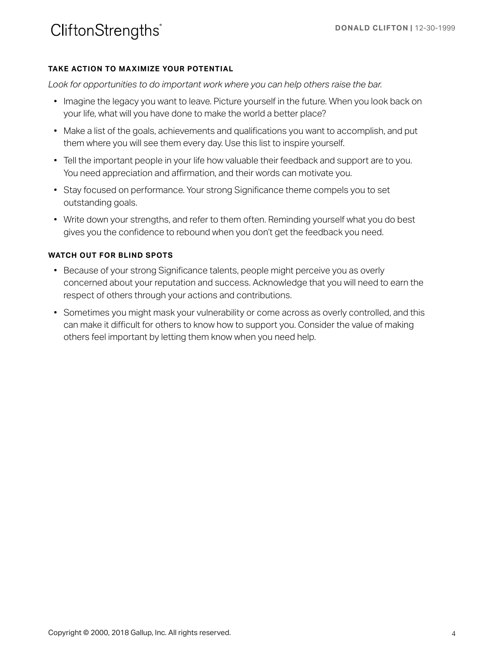#### **TAKE ACTION TO MAXIMIZE YOUR POTENTIAL**

Look for opportunities to do important work where you can help others raise the bar.

- Imagine the legacy you want to leave. Picture yourself in the future. When you look back on your life, what will you have done to make the world a better place?
- Make a list of the goals, achievements and qualifications you want to accomplish, and put them where you will see them every day. Use this list to inspire yourself.
- Tell the important people in your life how valuable their feedback and support are to you. You need appreciation and affirmation, and their words can motivate you.
- Stay focused on performance. Your strong Significance theme compels you to set outstanding goals.
- Write down your strengths, and refer to them often. Reminding yourself what you do best gives you the confidence to rebound when you don't get the feedback you need.

- Because of your strong Significance talents, people might perceive you as overly concerned about your reputation and success. Acknowledge that you will need to earn the respect of others through your actions and contributions.
- Sometimes you might mask your vulnerability or come across as overly controlled, and this can make it difficult for others to know how to support you. Consider the value of making others feel important by letting them know when you need help.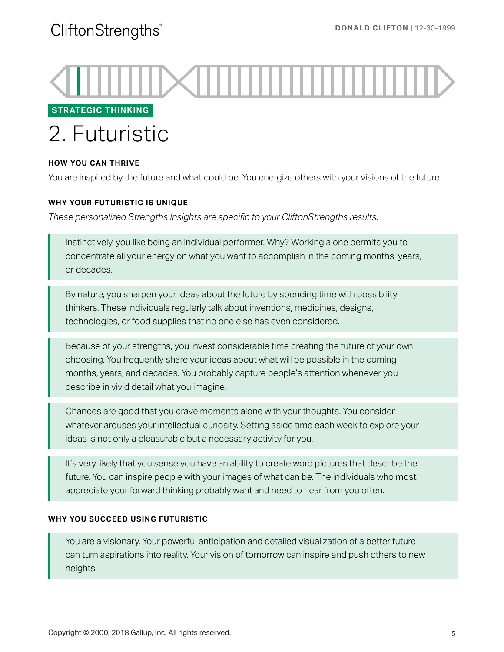

### **STRATEGIC THINKING**

# 2. Futuristic

#### **HOW YOU CAN THRIVE**

You are inspired by the future and what could be. You energize others with your visions of the future.

#### **WHY YOUR FUTURISTIC IS UNIQUE**

*These personalized Strengths Insights are specific to your CliftonStrengths results.* 

Instinctively, you like being an individual performer. Why? Working alone permits you to concentrate all your energy on what you want to accomplish in the coming months, years, or decades.

By nature, you sharpen your ideas about the future by spending time with possibility thinkers. These individuals regularly talk about inventions, medicines, designs, technologies, or food supplies that no one else has even considered.

Because of your strengths, you invest considerable time creating the future of your own choosing. You frequently share your ideas about what will be possible in the coming months, years, and decades. You probably capture people's attention whenever you describe in vivid detail what you imagine.

Chances are good that you crave moments alone with your thoughts. You consider whatever arouses your intellectual curiosity. Setting aside time each week to explore your ideas is not only a pleasurable but a necessary activity for you.

It's very likely that you sense you have an ability to create word pictures that describe the future. You can inspire people with your images of what can be. The individuals who most appreciate your forward thinking probably want and need to hear from you often.

#### **WHY YOU SUCCEED USING FUTURISTIC**

You are a visionary. Your powerful anticipation and detailed visualization of a better future can turn aspirations into reality. Your vision of tomorrow can inspire and push others to new heights.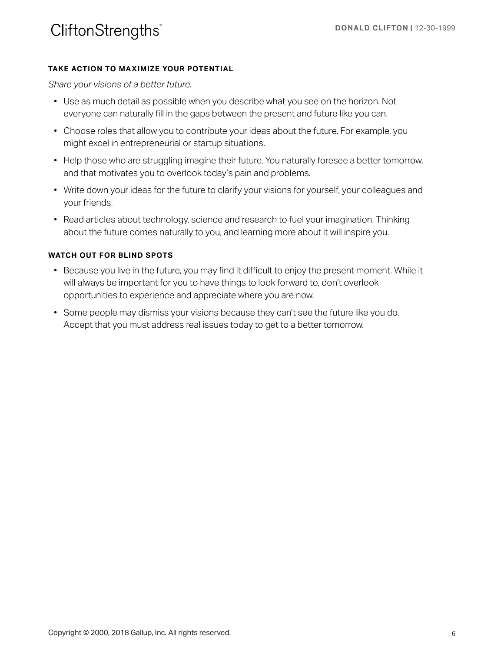#### **TAKE ACTION TO MAXIMIZE YOUR POTENTIAL**

*Share your visions of a better future.* 

- Use as much detail as possible when you describe what you see on the horizon. Not everyone can naturally fill in the gaps between the present and future like you can.
- Choose roles that allow you to contribute your ideas about the future. For example, you might excel in entrepreneurial or startup situations.
- Help those who are struggling imagine their future. You naturally foresee a better tomorrow, and that motivates you to overlook today's pain and problems.
- Write down your ideas for the future to clarify your visions for yourself, your colleagues and your friends.
- Read articles about technology, science and research to fuel your imagination. Thinking about the future comes naturally to you, and learning more about it will inspire you.

- Because you live in the future, you may find it difficult to enjoy the present moment. While it will always be important for you to have things to look forward to, don't overlook opportunities to experience and appreciate where you are now.
- Some people may dismiss your visions because they can't see the future like you do. Accept that you must address real issues today to get to a better tomorrow.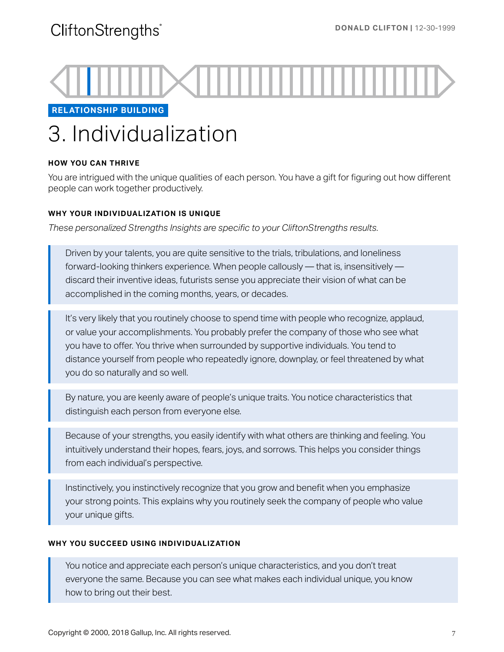

**RELATIONSHIP BUILDING** 

# 3. Individualization

#### **HOW YOU CAN THRIVE**

You are intrigued with the unique qualities of each person. You have a gift for figuring out how different people can work together productively.

#### **WHY YOUR INDIVIDUALIZATION IS UNIQUE**

*These personalized Strengths Insights are specific to your CliftonStrengths results.* 

Driven by your talents, you are quite sensitive to the trials, tribulations, and loneliness forward-looking thinkers experience. When people callously — that is, insensitively discard their inventive ideas, futurists sense you appreciate their vision of what can be accomplished in the coming months, years, or decades.

It's very likely that you routinely choose to spend time with people who recognize, applaud, or value your accomplishments. You probably prefer the company of those who see what you have to offer. You thrive when surrounded by supportive individuals. You tend to distance yourself from people who repeatedly ignore, downplay, or feel threatened by what you do so naturally and so well.

By nature, you are keenly aware of people's unique traits. You notice characteristics that distinguish each person from everyone else.

Because of your strengths, you easily identify with what others are thinking and feeling. You intuitively understand their hopes, fears, joys, and sorrows. This helps you consider things from each individual's perspective.

Instinctively, you instinctively recognize that you grow and benefit when you emphasize your strong points. This explains why you routinely seek the company of people who value your unique gifts.

#### **WHY YOU SUCCEED USING INDIVIDUALIZATION**

You notice and appreciate each person's unique characteristics, and you don't treat everyone the same. Because you can see what makes each individual unique, you know how to bring out their best.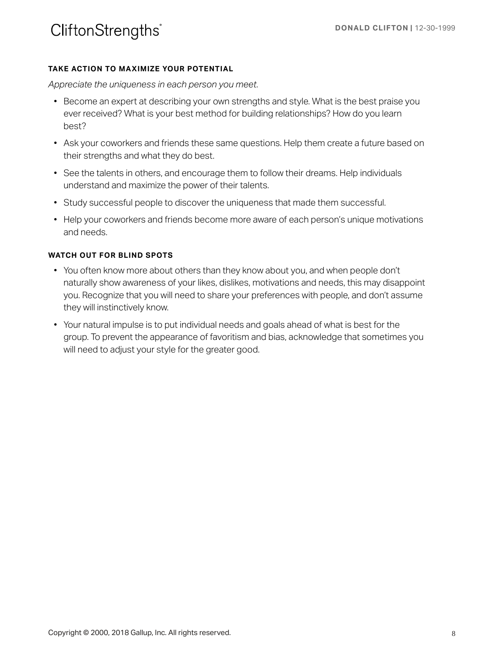#### **TAKE ACTION TO MAXIMIZE YOUR POTENTIAL**

*Appreciate the uniqueness in each person you meet.* 

- Become an expert at describing your own strengths and style. What is the best praise you ever received? What is your best method for building relationships? How do you learn best?
- Ask your coworkers and friends these same questions. Help them create a future based on their strengths and what they do best.
- See the talents in others, and encourage them to follow their dreams. Help individuals understand and maximize the power of their talents.
- Study successful people to discover the uniqueness that made them successful.
- Help your coworkers and friends become more aware of each person's unique motivations and needs.

- You often know more about others than they know about you, and when people don't naturally show awareness of your likes, dislikes, motivations and needs, this may disappoint you. Recognize that you will need to share your preferences with people, and don't assume they will instinctively know.
- Your natural impulse is to put individual needs and goals ahead of what is best for the group. To prevent the appearance of favoritism and bias, acknowledge that sometimes you will need to adjust your style for the greater good.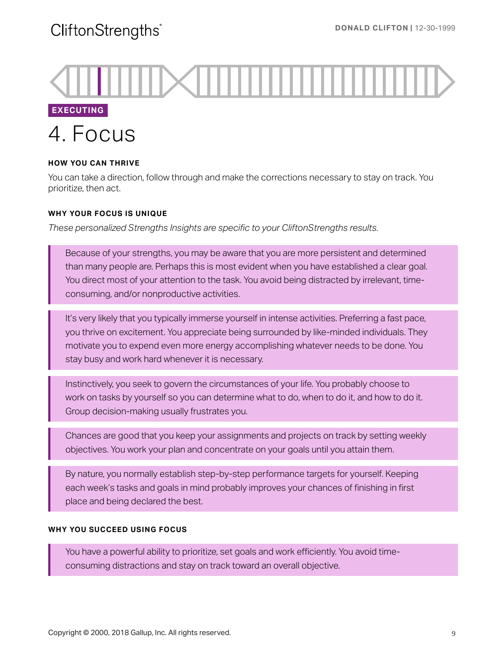**EXECUTING**  4. Focus

#### **HOW YOU CAN THRIVE**

You can take a direction, follow through and make the corrections necessary to stay on track. You prioritize, then act.

#### **WHY YOUR FOCUS IS UNIQUE**

*These personalized Strengths Insights are specific to your CliftonStrengths results.* 

Because of your strengths, you may be aware that you are more persistent and determined than many people are. Perhaps this is most evident when you have established a clear goal. You direct most of your attention to the task. You avoid being distracted by irrelevant, timeconsuming, and/or nonproductive activities.

It's very likely that you typically immerse yourself in intense activities. Preferring a fast pace, you thrive on excitement. You appreciate being surrounded by like-minded individuals. They motivate you to expend even more energy accomplishing whatever needs to be done. You stay busy and work hard whenever it is necessary.

Instinctively, you seek to govern the circumstances of your life. You probably choose to work on tasks by yourself so you can determine what to do, when to do it, and how to do it. Group decision-making usually frustrates you.

Chances are good that you keep your assignments and projects on track by setting weekly objectives. You work your plan and concentrate on your goals until you attain them.

By nature, you normally establish step-by-step performance targets for yourself. Keeping each week's tasks and goals in mind probably improves your chances of finishing in first place and being declared the best.

#### **WHY YOU SUCCEED USING FOCUS**

You have a powerful ability to prioritize, set goals and work efficiently. You avoid timeconsuming distractions and stay on track toward an overall objective.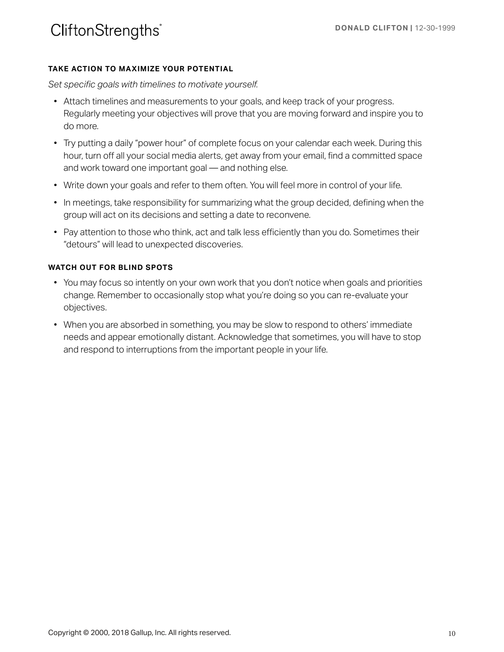#### **TAKE ACTION TO MAXIMIZE YOUR POTENTIAL**

*Set specific goals with timelines to motivate yourself.* 

- Attach timelines and measurements to your goals, and keep track of your progress. Regularly meeting your objectives will prove that you are moving forward and inspire you to do more.
- Try putting a daily "power hour" of complete focus on your calendar each week. During this hour, turn off all your social media alerts, get away from your email, find a committed space and work toward one important goal — and nothing else.
- Write down your goals and refer to them often. You will feel more in control of your life.
- In meetings, take responsibility for summarizing what the group decided, defining when the group will act on its decisions and setting a date to reconvene.
- Pay attention to those who think, act and talk less efficiently than you do. Sometimes their "detours" will lead to unexpected discoveries.

- You may focus so intently on your own work that you don't notice when goals and priorities change. Remember to occasionally stop what you're doing so you can re-evaluate your objectives.
- When you are absorbed in something, you may be slow to respond to others' immediate needs and appear emotionally distant. Acknowledge that sometimes, you will have to stop and respond to interruptions from the important people in your life.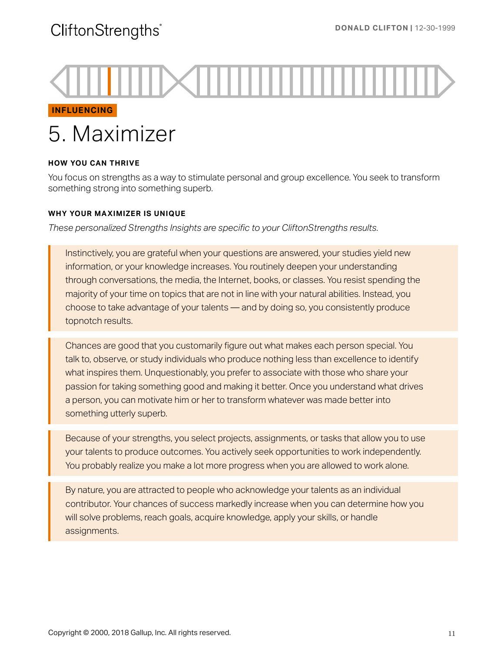**INFLUENCING** 

# 5. Maximizer

### **HOW YOU CAN THRIVE**

You focus on strengths as a way to stimulate personal and group excellence. You seek to transform something strong into something superb.

#### **WHY YOUR MAXIMIZER IS UNIQUE**

*These personalized Strengths Insights are specific to your CliftonStrengths results.* 

Instinctively, you are grateful when your questions are answered, your studies yield new information, or your knowledge increases. You routinely deepen your understanding through conversations, the media, the Internet, books, or classes. You resist spending the majority of your time on topics that are not in line with your natural abilities. Instead, you choose to take advantage of your talents — and by doing so, you consistently produce topnotch results.

Chances are good that you customarily figure out what makes each person special. You talk to, observe, or study individuals who produce nothing less than excellence to identify what inspires them. Unquestionably, you prefer to associate with those who share your passion for taking something good and making it better. Once you understand what drives a person, you can motivate him or her to transform whatever was made better into something utterly superb.

Because of your strengths, you select projects, assignments, or tasks that allow you to use your talents to produce outcomes. You actively seek opportunities to work independently. You probably realize you make a lot more progress when you are allowed to work alone.

By nature, you are attracted to people who acknowledge your talents as an individual contributor. Your chances of success markedly increase when you can determine how you will solve problems, reach goals, acquire knowledge, apply your skills, or handle assignments.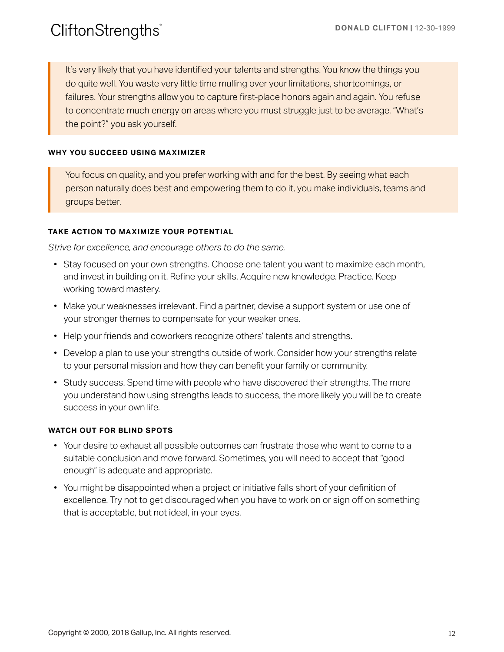It's very likely that you have identified your talents and strengths. You know the things you do quite well. You waste very little time mulling over your limitations, shortcomings, or failures. Your strengths allow you to capture first-place honors again and again. You refuse to concentrate much energy on areas where you must struggle just to be average. "What's the point?" you ask yourself.

#### **WHY YOU SUCCEED USING MAXIMIZER**

You focus on quality, and you prefer working with and for the best. By seeing what each person naturally does best and empowering them to do it, you make individuals, teams and groups better.

#### **TAKE ACTION TO MAXIMIZE YOUR POTENTIAL**

*Strive for excellence, and encourage others to do the same.* 

- Stay focused on your own strengths. Choose one talent you want to maximize each month, and invest in building on it. Refine your skills. Acquire new knowledge. Practice. Keep working toward mastery.
- Make your weaknesses irrelevant. Find a partner, devise a support system or use one of your stronger themes to compensate for your weaker ones.
- Help your friends and coworkers recognize others' talents and strengths.
- Develop a plan to use your strengths outside of work. Consider how your strengths relate to your personal mission and how they can benefit your family or community.
- Study success. Spend time with people who have discovered their strengths. The more you understand how using strengths leads to success, the more likely you will be to create success in your own life.

- Your desire to exhaust all possible outcomes can frustrate those who want to come to a suitable conclusion and move forward. Sometimes, you will need to accept that "good enough" is adequate and appropriate.
- You might be disappointed when a project or initiative falls short of your definition of excellence. Try not to get discouraged when you have to work on or sign off on something that is acceptable, but not ideal, in your eyes.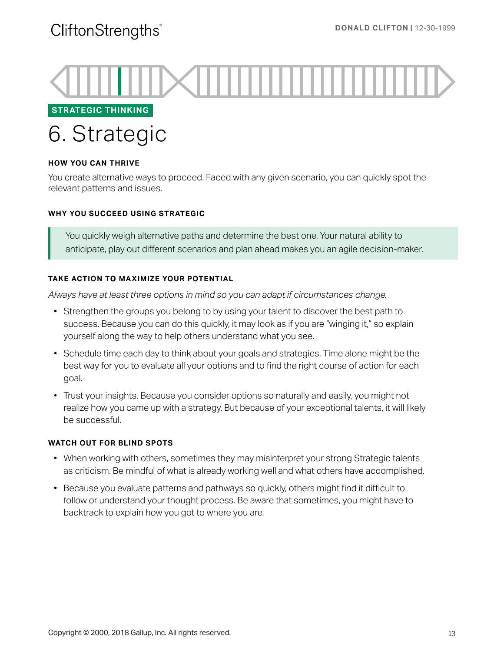

**STRATEGIC THINKING** 

# 6. Strategic

#### **HOW YOU CAN THRIVE**

You create alternative ways to proceed. Faced with any given scenario, you can quickly spot the relevant patterns and issues.

#### **WHY YOU SUCCEED USING STRATEGIC**

You quickly weigh alternative paths and determine the best one. Your natural ability to anticipate, play out different scenarios and plan ahead makes you an agile decision-maker.

#### **TAKE ACTION TO MAXIMIZE YOUR POTENTIAL**

*Always have at least three options in mind so you can adapt if circumstances change.* 

- Strengthen the groups you belong to by using your talent to discover the best path to success. Because you can do this quickly, it may look as if you are "winging it," so explain yourself along the way to help others understand what you see.
- Schedule time each day to think about your goals and strategies. Time alone might be the best way for you to evaluate all your options and to find the right course of action for each goal.
- Trust your insights. Because you consider options so naturally and easily, you might not realize how you came up with a strategy. But because of your exceptional talents, it will likely be successful.

- When working with others, sometimes they may misinterpret your strong Strategic talents as criticism. Be mindful of what is already working well and what others have accomplished.
- Because you evaluate patterns and pathways so quickly, others might find it difficult to follow or understand your thought process. Be aware that sometimes, you might have to backtrack to explain how you got to where you are.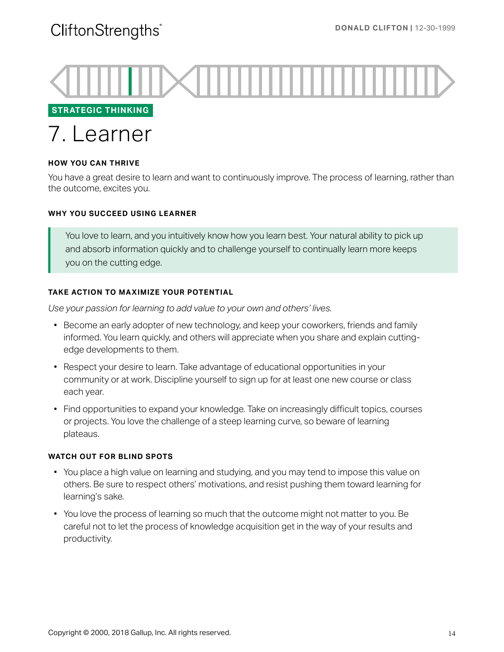

**STRATEGIC THINKING** 

## 7. Learner

#### **HOW YOU CAN THRIVE**

You have a great desire to learn and want to continuously improve. The process of learning, rather than the outcome, excites you.

#### **WHY YOU SUCCEED USING LEARNER**

You love to learn, and you intuitively know how you learn best. Your natural ability to pick up and absorb information quickly and to challenge yourself to continually learn more keeps you on the cutting edge.

#### **TAKE ACTION TO MAXIMIZE YOUR POTENTIAL**

*Use your passion for learning to add value to your own and others' lives.* 

- Become an early adopter of new technology, and keep your coworkers, friends and family informed. You learn quickly, and others will appreciate when you share and explain cuttingedge developments to them.
- Respect your desire to learn. Take advantage of educational opportunities in your community or at work. Discipline yourself to sign up for at least one new course or class each year.
- Find opportunities to expand your knowledge. Take on increasingly difficult topics, courses or projects. You love the challenge of a steep learning curve, so beware of learning plateaus.

- You place a high value on learning and studying, and you may tend to impose this value on others. Be sure to respect others' motivations, and resist pushing them toward learning for learning's sake.
- You love the process of learning so much that the outcome might not matter to you. Be careful not to let the process of knowledge acquisition get in the way of your results and productivity.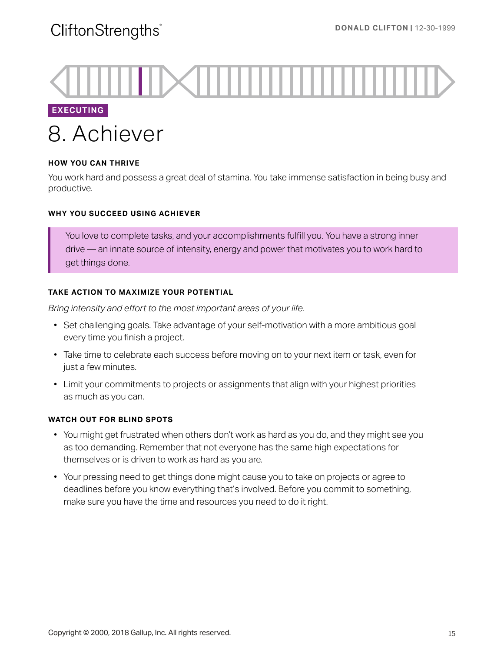### **EXECUTING**

# 8. Achiever

#### **HOW YOU CAN THRIVE**

You work hard and possess a great deal of stamina. You take immense satisfaction in being busy and productive.

#### **WHY YOU SUCCEED USING ACHIEVER**

You love to complete tasks, and your accomplishments fulfill you. You have a strong inner drive — an innate source of intensity, energy and power that motivates you to work hard to get things done.

#### **TAKE ACTION TO MAXIMIZE YOUR POTENTIAL**

*Bring intensity and effort to the most important areas of your life.* 

- Set challenging goals. Take advantage of your self-motivation with a more ambitious goal every time you finish a project.
- Take time to celebrate each success before moving on to your next item or task, even for just a few minutes.
- Limit your commitments to projects or assignments that align with your highest priorities as much as you can.

- You might get frustrated when others don't work as hard as you do, and they might see you as too demanding. Remember that not everyone has the same high expectations for themselves or is driven to work as hard as you are.
- Your pressing need to get things done might cause you to take on projects or agree to deadlines before you know everything that's involved. Before you commit to something, make sure you have the time and resources you need to do it right.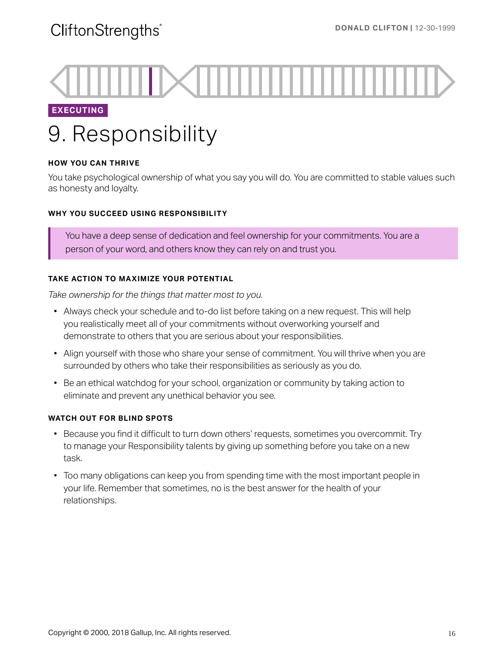### **EXECUTING**

# 9. Responsibility

#### **HOW YOU CAN THRIVE**

You take psychological ownership of what you say you will do. You are committed to stable values such as honesty and loyalty.

#### **WHY YOU SUCCEED USING RESPONSIBILITY**

You have a deep sense of dedication and feel ownership for your commitments. You are a person of your word, and others know they can rely on and trust you.

#### **TAKE ACTION TO MAXIMIZE YOUR POTENTIAL**

*Take ownership for the things that matter most to you.* 

- Always check your schedule and to-do list before taking on a new request. This will help you realistically meet all of your commitments without overworking yourself and demonstrate to others that you are serious about your responsibilities.
- Align yourself with those who share your sense of commitment. You will thrive when you are surrounded by others who take their responsibilities as seriously as you do.
- Be an ethical watchdog for your school, organization or community by taking action to eliminate and prevent any unethical behavior you see.

- Because you find it difficult to turn down others' requests, sometimes you overcommit. Try to manage your Responsibility talents by giving up something before you take on a new task.
- Too many obligations can keep you from spending time with the most important people in your life. Remember that sometimes, no is the best answer for the health of your relationships.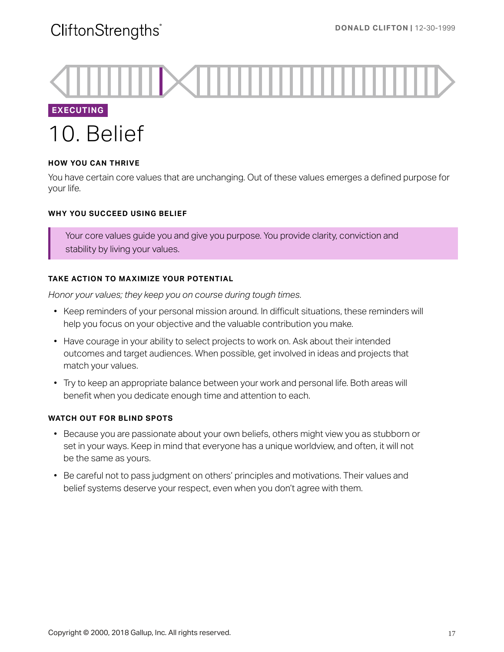**EXECUTING**  10. Belief

#### **HOW YOU CAN THRIVE**

You have certain core values that are unchanging. Out of these values emerges a defined purpose for your life.

#### **WHY YOU SUCCEED USING BELIEF**

Your core values guide you and give you purpose. You provide clarity, conviction and stability by living your values.

#### **TAKE ACTION TO MAXIMIZE YOUR POTENTIAL**

*Honor your values; they keep you on course during tough times.* 

- Keep reminders of your personal mission around. In difficult situations, these reminders will help you focus on your objective and the valuable contribution you make.
- Have courage in your ability to select projects to work on. Ask about their intended outcomes and target audiences. When possible, get involved in ideas and projects that match your values.
- Try to keep an appropriate balance between your work and personal life. Both areas will benefit when you dedicate enough time and attention to each.

- Because you are passionate about your own beliefs, others might view you as stubborn or set in your ways. Keep in mind that everyone has a unique worldview, and often, it will not be the same as yours.
- Be careful not to pass judgment on others' principles and motivations. Their values and belief systems deserve your respect, even when you don't agree with them.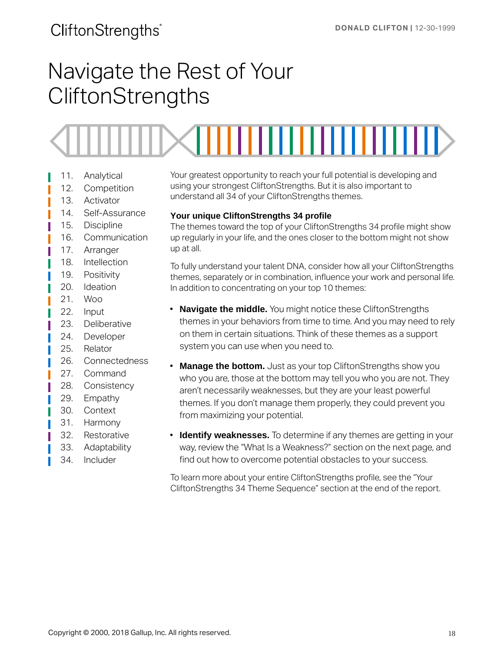# Navigate the Rest of Your **CliftonStrengths**



- 11. Analytical
- 12. Competition
- 13. Activator
- 14. Self-Assurance
- 15. Discipline
- 16. Communication
- 17. Arranger
- 18. Intellection
- 19. Positivity
- 20. Ideation
- 21. Woo
- 22. Input
- 23. Deliberative
- 24. Developer
- 25. Relator
- 26. Connectedness
- 27. Command
- 28. Consistency
- 29. Empathy
- 30. Context
- 31. Harmony
- 32. Restorative
- 33. Adaptability
- 34. Includer

Your greatest opportunity to reach your full potential is developing and using your strongest CliftonStrengths. But it is also important to understand all 34 of your CliftonStrengths themes.

#### **Your unique CliftonStrengths 34 profile**

The themes toward the top of your CliftonStrengths 34 profile might show up regularly in your life, and the ones closer to the bottom might not show up at all.

To fully understand your talent DNA, consider how all your CliftonStrengths themes, separately or in combination, influence your work and personal life. In addition to concentrating on your top 10 themes:

- **Navigate the middle.** You might notice these CliftonStrengths themes in your behaviors from time to time. And you may need to rely on them in certain situations. Think of these themes as a support system you can use when you need to.
- **Manage the bottom.** Just as your top CliftonStrengths show you who you are, those at the bottom may tell you who you are not. They aren't necessarily weaknesses, but they are your least powerful themes. If you don't manage them properly, they could prevent you from maximizing your potential.
- **Identify weaknesses.** To determine if any themes are getting in your way, review the "What Is a Weakness?" section on the next page, and find out how to overcome potential obstacles to your success.

To learn more about your entire CliftonStrengths profile, see the "Your CliftonStrengths 34 Theme Sequence" section at the end of the report.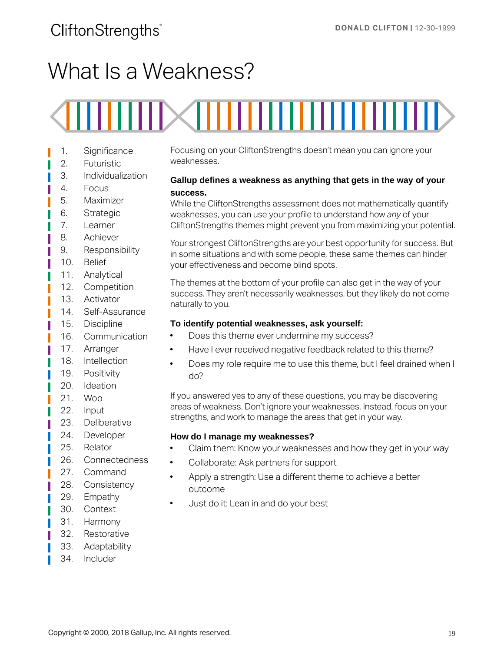# What Is a Weakness?

# ,,,,,,,,,,,,,

- 1. Significance
- 2. Futuristic
- 3. Individualization
- 4. Focus
- 5. Maximizer
- 6. Strategic
- 7. Learner
- 8. Achiever
- 9. Responsibility
- 10. Belief
- 11. Analytical
- 12. Competition
- 13. Activator
- 14. Self-Assurance
- 15. Discipline
- 16. Communication
- 17. Arranger
- 18. Intellection
- 19. Positivity
- 20. Ideation
- 21. Woo
- 22. Input
- 23. Deliberative
- 24. Developer
- 25. Relator
- 26. Connectedness
- 27. Command
- 28. Consistency
- 29. Empathy
- 30. Context
- 31. Harmony
- 32. Restorative
- 33. Adaptability
- 34. Includer

Focusing on your CliftonStrengths doesn't mean you can ignore your weaknesses.

#### **Gallup defines a weakness as anything that gets in the way of your success.**

While the CliftonStrengths assessment does not mathematically quantify weaknesses, you can use your profile to understand how *any* of your CliftonStrengths themes might prevent you from maximizing your potential.

Your strongest CliftonStrengths are your best opportunity for success. But in some situations and with some people, these same themes can hinder your effectiveness and become blind spots.

The themes at the bottom of your profile can also get in the way of your success. They aren't necessarily weaknesses, but they likely do not come naturally to you.

#### **To identify potential weaknesses, ask yourself:**

- Does this theme ever undermine my success?
- Have I ever received negative feedback related to this theme?
- Does my role require me to use this theme, but I feel drained when I do?

If you answered yes to any of these questions, you may be discovering areas of weakness. Don't ignore your weaknesses. Instead, focus on your strengths, and work to manage the areas that get in your way.

#### **How do I manage my weaknesses?**

- Claim them: Know your weaknesses and how they get in your way
- Collaborate: Ask partners for support
- Apply a strength: Use a different theme to achieve a better outcome
- Just do it: Lean in and do your best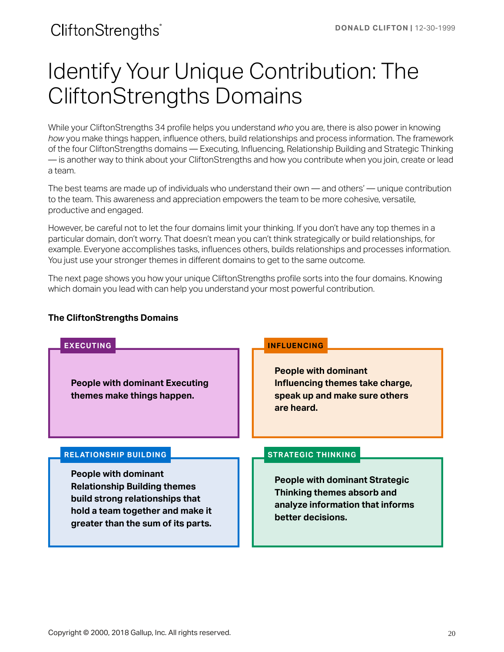# <span id="page-19-0"></span>Identify Your Unique Contribution: The CliftonStrengths Domains

While your CliftonStrengths 34 profile helps you understand *who* you are, there is also power in knowing *how* you make things happen, influence others, build relationships and process information. The framework of the four CliftonStrengths domains — Executing, Influencing, Relationship Building and Strategic Thinking — is another way to think about your CliftonStrengths and how you contribute when you join, create or lead a team.

The best teams are made up of individuals who understand their own — and others' — unique contribution to the team. This awareness and appreciation empowers the team to be more cohesive, versatile, productive and engaged.

However, be careful not to let the four domains limit your thinking. If you don't have any top themes in a particular domain, don't worry. That doesn't mean you can't think strategically or build relationships, for example. Everyone accomplishes tasks, influences others, builds relationships and processes information. You just use your stronger themes in different domains to get to the same outcome.

The next page shows you how your unique CliftonStrengths profile sorts into the four domains. Knowing which domain you lead with can help you understand your most powerful contribution.

#### **The CliftonStrengths Domains**

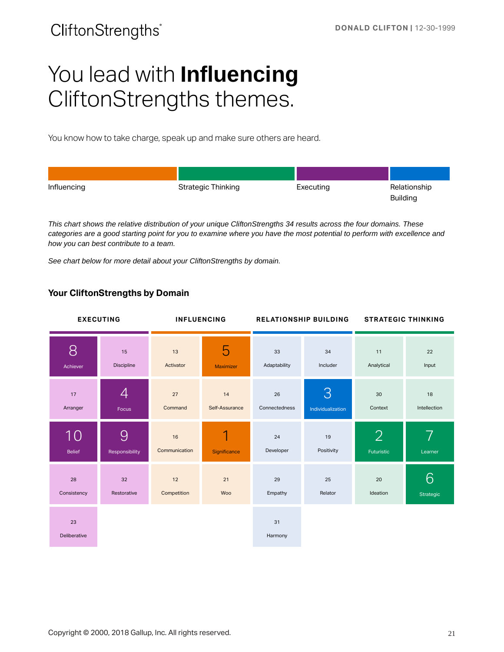# You lead with **Influencing**  CliftonStrengths themes.

You know how to take charge, speak up and make sure others are heard.

| Influencing | <b>Strategic Thinking</b> | Executing | Relationship<br><b>Building</b> |
|-------------|---------------------------|-----------|---------------------------------|

*This chart shows the relative distribution of your unique CliftonStrengths 34 results across the four domains. These categories are a good starting point for you to examine where you have the most potential to perform with excellence and how you can best contribute to a team.* 

*See chart below for more detail about your CliftonStrengths by domain.* 

#### **Your CliftonStrengths by Domain**

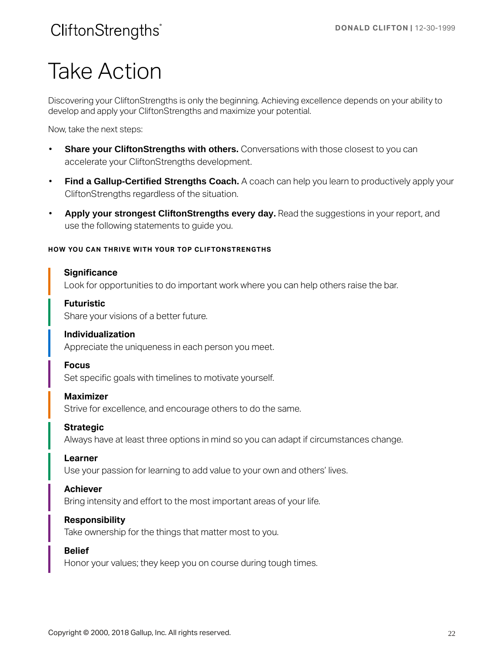# Take Action

Discovering your CliftonStrengths is only the beginning. Achieving excellence depends on your ability to develop and apply your CliftonStrengths and maximize your potential.

Now, take the next steps:

- **Share your CliftonStrengths with others.** Conversations with those closest to you can accelerate your CliftonStrengths development.
- **Find a Gallup-Certified Strengths Coach.** A coach can help you learn to productively apply your CliftonStrengths regardless of the situation.
- **Apply your strongest CliftonStrengths every day.** Read the suggestions in your report, and use the following statements to guide you.

#### **HOW YOU CAN THRIVE WITH YOUR TOP CLIFTONSTRENGTHS**

#### **Significance**

Look for opportunities to do important work where you can help others raise the bar.

#### **Futuristic**

Share your visions of a better future.

#### **Individualization**

Appreciate the uniqueness in each person you meet.

#### **Focus**

Set specific goals with timelines to motivate yourself.

#### **Maximizer**

Strive for excellence, and encourage others to do the same.

#### **Strategic**

Always have at least three options in mind so you can adapt if circumstances change.

#### **Learner**

Use your passion for learning to add value to your own and others' lives.

#### **Achiever**

Bring intensity and effort to the most important areas of your life.

#### **Responsibility**

Take ownership for the things that matter most to you.

#### **Belief**

Honor your values; they keep you on course during tough times.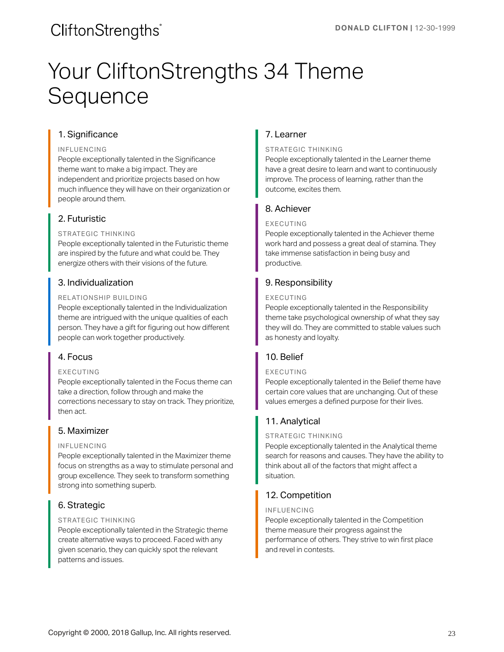# Your CliftonStrengths 34 Theme **Sequence**

#### 1. Significance

#### INFLUENCING

People exceptionally talented in the Significance theme want to make a big impact. They are independent and prioritize projects based on how much influence they will have on their organization or people around them.

#### 2. Futuristic

#### STRATEGIC THINKING

People exceptionally talented in the Futuristic theme are inspired by the future and what could be. They energize others with their visions of the future.

#### 3. Individualization

#### RELATIONSHIP BUILDING

People exceptionally talented in the Individualization theme are intrigued with the unique qualities of each person. They have a gift for figuring out how different people can work together productively.

#### 4. Focus

#### EXECUTING

People exceptionally talented in the Focus theme can take a direction, follow through and make the corrections necessary to stay on track. They prioritize, then act.

#### 5. Maximizer

#### INFLUENCING

People exceptionally talented in the Maximizer theme focus on strengths as a way to stimulate personal and group excellence. They seek to transform something strong into something superb.

### 6. Strategic

#### STRATEGIC THINKING

People exceptionally talented in the Strategic theme create alternative ways to proceed. Faced with any given scenario, they can quickly spot the relevant patterns and issues.

#### 7. Learner

#### STRATEGIC THINKING

People exceptionally talented in the Learner theme have a great desire to learn and want to continuously improve. The process of learning, rather than the outcome, excites them.

#### 8. Achiever

#### EXECUTING

People exceptionally talented in the Achiever theme work hard and possess a great deal of stamina. They take immense satisfaction in being busy and productive.

#### 9. Responsibility

#### EXECUTING

People exceptionally talented in the Responsibility theme take psychological ownership of what they say they will do. They are committed to stable values such as honesty and loyalty.

### 10. Belief

#### EXECUTING

People exceptionally talented in the Belief theme have certain core values that are unchanging. Out of these values emerges a defined purpose for their lives.

### 11. Analytical

#### STRATEGIC THINKING

People exceptionally talented in the Analytical theme search for reasons and causes. They have the ability to think about all of the factors that might affect a situation.

### 12. Competition

#### INFLUENCING

People exceptionally talented in the Competition theme measure their progress against the performance of others. They strive to win first place and revel in contests.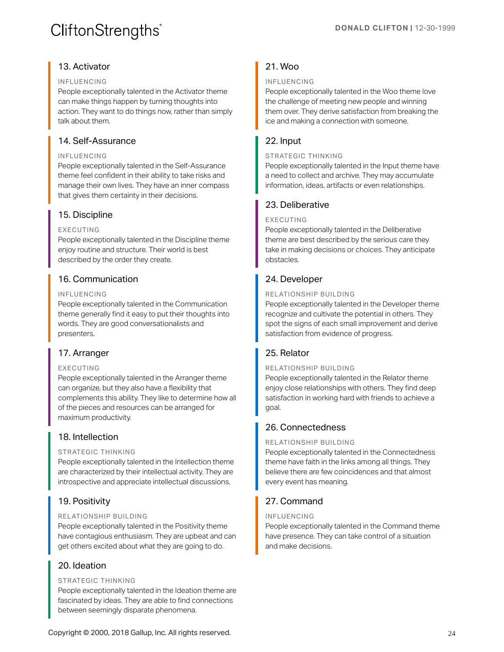#### 13. Activator

#### INFLUENCING

People exceptionally talented in the Activator theme can make things happen by turning thoughts into action. They want to do things now, rather than simply talk about them.

#### 14. Self-Assurance

#### INFLUENCING

People exceptionally talented in the Self-Assurance theme feel confident in their ability to take risks and manage their own lives. They have an inner compass that gives them certainty in their decisions.

#### 15. Discipline

#### EXECUTING

People exceptionally talented in the Discipline theme enjoy routine and structure. Their world is best described by the order they create.

#### 16. Communication

#### INFLUENCING

People exceptionally talented in the Communication theme generally find it easy to put their thoughts into words. They are good conversationalists and presenters.

#### 17. Arranger

#### EXECUTING

People exceptionally talented in the Arranger theme can organize, but they also have a flexibility that complements this ability. They like to determine how all of the pieces and resources can be arranged for maximum productivity.

#### 18. Intellection

#### STRATEGIC THINKING

People exceptionally talented in the Intellection theme are characterized by their intellectual activity. They are introspective and appreciate intellectual discussions.

#### 19. Positivity

#### RELATIONSHIP BUILDING

People exceptionally talented in the Positivity theme have contagious enthusiasm. They are upbeat and can get others excited about what they are going to do.

#### 20. Ideation

#### STRATEGIC THINKING

People exceptionally talented in the Ideation theme are fascinated by ideas. They are able to find connections between seemingly disparate phenomena.

### 21. Woo

#### INFLUENCING

People exceptionally talented in the Woo theme love the challenge of meeting new people and winning them over. They derive satisfaction from breaking the ice and making a connection with someone.

#### 22. Input

#### STRATEGIC THINKING

People exceptionally talented in the Input theme have a need to collect and archive. They may accumulate information, ideas, artifacts or even relationships.

#### 23. Deliberative

#### EXECUTING

People exceptionally talented in the Deliberative theme are best described by the serious care they take in making decisions or choices. They anticipate obstacles.

#### 24. Developer

#### RELATIONSHIP BUILDING

People exceptionally talented in the Developer theme recognize and cultivate the potential in others. They spot the signs of each small improvement and derive satisfaction from evidence of progress.

#### 25. Relator

#### RELATIONSHIP BUILDING

People exceptionally talented in the Relator theme enjoy close relationships with others. They find deep satisfaction in working hard with friends to achieve a goal.

### 26. Connectedness

#### RELATIONSHIP BUILDING

People exceptionally talented in the Connectedness theme have faith in the links among all things. They believe there are few coincidences and that almost every event has meaning.

### 27. Command

#### INFLUENCING

People exceptionally talented in the Command theme have presence. They can take control of a situation and make decisions.